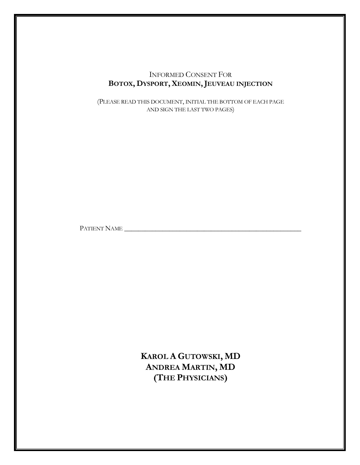# INFORMED CONSENT FOR **BOTOX, DYSPORT,XEOMIN,JEUVEAU INJECTION**

(PLEASE READ THIS DOCUMENT, INITIAL THE BOTTOM OF EACH PAGE AND SIGN THE LAST TWO PAGES)

PATIENT NAME \_\_\_\_\_\_\_\_\_\_\_\_\_\_\_\_\_\_\_\_\_\_\_\_\_\_\_\_\_\_\_\_\_\_\_\_\_\_\_\_\_\_\_\_\_\_\_\_\_\_\_

**KAROL A GUTOWSKI, MD ANDREA MARTIN, MD (THE PHYSICIANS)**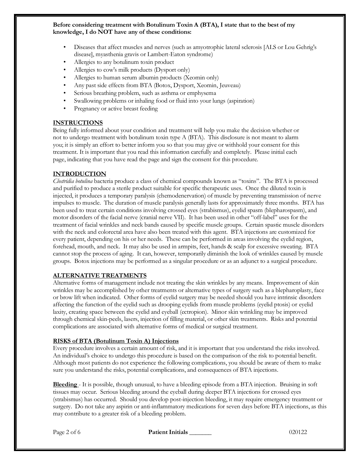#### **Before considering treatment with Botulinum Toxin A (BTA), I state that to the best of my knowledge, I do NOT have any of these conditions:**

- Diseases that affect muscles and nerves (such as amyotrophic lateral sclerosis [ALS or Lou Gehrig's disease], myasthenia gravis or Lambert-Eaton syndrome)
- Allergies to any botulinum toxin product
- Allergies to cow's milk products (Dysport only)
- Allergies to human serum albumin products (Xeomin only)
- Any past side effects from BTA (Botox, Dysport, Xeomin, Jeuveau)
- Serious breathing problem, such as asthma or emphysema
- Swallowing problems or inhaling food or fluid into your lungs (aspiration)
- Pregnancy or active breast feeding

# **INSTRUCTIONS**

Being fully informed about your condition and treatment will help you make the decision whether or not to undergo treatment with botulinum toxin type A (BTA). This disclosure is not meant to alarm you; it is simply an effort to better inform you so that you may give or withhold your consent for this treatment. It is important that you read this information carefully and completely. Please initial each page, indicating that you have read the page and sign the consent for this procedure.

# **INTRODUCTION**

*Clostridia botulina* bacteria produce a class of chemical compounds known as "toxins". The BTA is processed and purified to produce a sterile product suitable for specific therapeutic uses. Once the diluted toxin is injected, it produces a temporary paralysis (chemodenervation) of muscle by preventing transmission of nerve impulses to muscle. The duration of muscle paralysis generally lasts for approximately three months. BTA has been used to treat certain conditions involving crossed eyes (strabismus), eyelid spasm (blepharospasm), and motor disorders of the facial nerve (cranial nerve VII). It has been used in other "off-label" uses for the treatment of facial wrinkles and neck bands caused by specific muscle groups. Certain spastic muscle disorders with the neck and colorectal area have also been treated with this agent. BTA injections are customized for every patient, depending on his or her needs. These can be performed in areas involving the eyelid region, forehead, mouth, and neck. It may also be used in armpits, feet, hands & scalp for excessive sweating. BTA cannot stop the process of aging. It can, however, temporarily diminish the look of wrinkles caused by muscle groups. Botox injections may be performed as a singular procedure or as an adjunct to a surgical procedure.

## **ALTERNATIVE TREATMENTS**

Alternative forms of management include not treating the skin wrinkles by any means. Improvement of skin wrinkles may be accomplished by other treatments or alternative types of surgery such as a blepharoplasty, face or brow lift when indicated. Other forms of eyelid surgery may be needed should you have intrinsic disorders affecting the function of the eyelid such as drooping eyelids from muscle problems (eyelid ptosis) or eyelid laxity, creating space between the eyelid and eyeball (ectropion). Minor skin wrinkling may be improved through chemical skin-peels, lasers, injection of filling material, or other skin treatments. Risks and potential complications are associated with alternative forms of medical or surgical treatment.

## **RISKS of BTA (Botulinum Toxin A) Injections**

Every procedure involves a certain amount of risk, and it is important that you understand the risks involved. An individual's choice to undergo this procedure is based on the comparison of the risk to potential benefit. Although most patients do not experience the following complications, you should be aware of them to make sure you understand the risks, potential complications, and consequences of BTA injections.

**Bleeding** - It is possible, though unusual, to have a bleeding episode from a BTA injection. Bruising in soft tissues may occur. Serious bleeding around the eyeball during deeper BTA injections for crossed eyes (strabismus) has occurred. Should you develop post-injection bleeding, it may require emergency treatment or surgery. Do not take any aspirin or anti-inflammatory medications for seven days before BTA injections, as this may contribute to a greater risk of a bleeding problem.

Page 2 of 6 **Patient Initials \_\_\_\_\_\_\_** 020122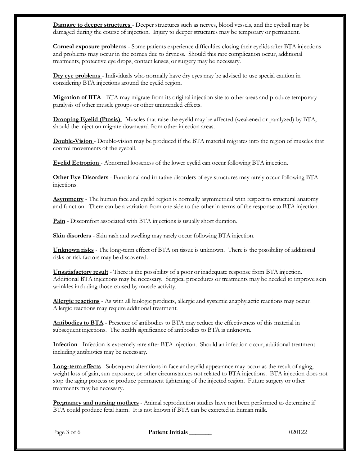**Damage to deeper structures** - Deeper structures such as nerves, blood vessels, and the eyeball may be damaged during the course of injection. Injury to deeper structures may be temporary or permanent.

**Corneal exposure problems** - Some patients experience difficulties closing their eyelids after BTA injections and problems may occur in the cornea due to dryness. Should this rare complication occur, additional treatments, protective eye drops, contact lenses, or surgery may be necessary.

**Dry eye problems** - Individuals who normally have dry eyes may be advised to use special caution in considering BTA injections around the eyelid region.

**Migration of BTA** - BTA may migrate from its original injection site to other areas and produce temporary paralysis of other muscle groups or other unintended effects.

**Drooping Eyelid (Ptosis)** - Muscles that raise the eyelid may be affected (weakened or paralyzed) by BTA, should the injection migrate downward from other injection areas.

**Double-Vision** - Double-vision may be produced if the BTA material migrates into the region of muscles that control movements of the eyeball.

**Eyelid Ectropion** - Abnormal looseness of the lower eyelid can occur following BTA injection.

**Other Eye Disorders** - Functional and irritative disorders of eye structures may rarely occur following BTA injections.

**Asymmetry** - The human face and eyelid region is normally asymmetrical with respect to structural anatomy and function. There can be a variation from one side to the other in terms of the response to BTA injection.

**Pain** - Discomfort associated with BTA injections is usually short duration.

**Skin disorders** - Skin rash and swelling may rarely occur following BTA injection.

**Unknown risks** - The long-term effect of BTA on tissue is unknown. There is the possibility of additional risks or risk factors may be discovered.

**Unsatisfactory result** - There is the possibility of a poor or inadequate response from BTA injection. Additional BTA injections may be necessary. Surgical procedures or treatments may be needed to improve skin wrinkles including those caused by muscle activity.

**Allergic reactions** - As with all biologic products, allergic and systemic anaphylactic reactions may occur. Allergic reactions may require additional treatment.

**Antibodies to BTA** - Presence of antibodies to BTA may reduce the effectiveness of this material in subsequent injections. The health significance of antibodies to BTA is unknown.

**Infection** - Infection is extremely rare after BTA injection. Should an infection occur, additional treatment including antibiotics may be necessary.

**Long-term effects** - Subsequent alterations in face and eyelid appearance may occur as the result of aging, weight loss of gain, sun exposure, or other circumstances not related to BTA injections. BTA injection does not stop the aging process or produce permanent tightening of the injected region. Future surgery or other treatments may be necessary.

**Pregnancy and nursing mothers** - Animal reproduction studies have not been performed to determine if BTA could produce fetal harm. It is not known if BTA can be excreted in human milk.

Page 3 of 6 **Patient Initials 1996 Patient Initials** 200122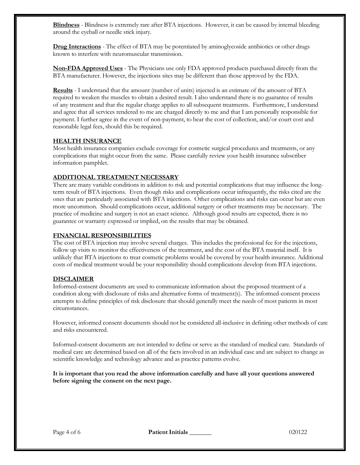**Blindness** - Blindness is extremely rare after BTA injections. However, it can be caused by internal bleeding around the eyeball or needle stick injury.

**Drug Interactions** - The effect of BTA may be potentiated by aminoglycoside antibiotics or other drugs known to interfere with neuromuscular transmission.

**Non-FDA Approved Uses** - The Physicians use only FDA approved products purchased directly from the BTA manufacturer. However, the injections sites may be different than those approved by the FDA.

**Results** - I understand that the amount (number of units) injected is an estimate of the amount of BTA required to weaken the muscles to obtain a desired result. I also understand there is no guarantee of results of any treatment and that the regular charge applies to all subsequent treatments. Furthermore, I understand and agree that all services rendered to me are charged directly to me and that I am personally responsible for payment. I further agree in the event of non-payment, to bear the cost of collection, and/or court cost and reasonable legal fees, should this be required.

# **HEALTH INSURANCE**

Most health insurance companies exclude coverage for cosmetic surgical procedures and treatments, or any complications that might occur from the same. Please carefully review your health insurance subscriber information pamphlet.

# **ADDITIONAL TREATMENT NECESSARY**

There are many variable conditions in addition to risk and potential complications that may influence the longterm result of BTA injections. Even though risks and complications occur infrequently, the risks cited are the ones that are particularly associated with BTA injections. Other complications and risks can occur but are even more uncommon. Should complications occur, additional surgery or other treatments may be necessary. The practice of medicine and surgery is not an exact science. Although good results are expected, there is no guarantee or warranty expressed or implied, on the results that may be obtained.

## **FINANCIAL RESPONSIBILITIES**

The cost of BTA injection may involve several charges. This includes the professional fee for the injections, follow up visits to monitor the effectiveness of the treatment, and the cost of the BTA material itself. It is unlikely that BTA injections to treat cosmetic problems would be covered by your health insurance. Additional costs of medical treatment would be your responsibility should complications develop from BTA injections.

## **DISCLAIMER**

Informed-consent documents are used to communicate information about the proposed treatment of a condition along with disclosure of risks and alternative forms of treatment(s). The informed-consent process attempts to define principles of risk disclosure that should generally meet the needs of most patients in most circumstances.

However, informed consent documents should not be considered all-inclusive in defining other methods of care and risks encountered.

Informed-consent documents are not intended to define or serve as the standard of medical care. Standards of medical care are determined based on all of the facts involved in an individual case and are subject to change as scientific knowledge and technology advance and as practice patterns evolve.

**It is important that you read the above information carefully and have all your questions answered before signing the consent on the next page.**

Page 4 of 6 **Patient Initials 1999 Page 4 of 6 200122**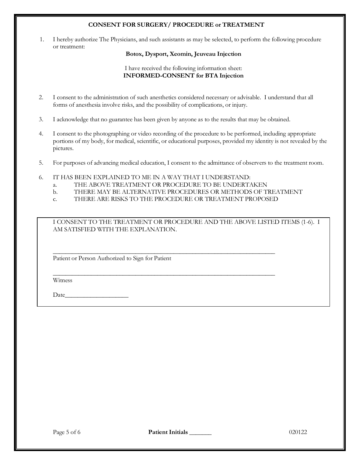# **CONSENT FOR SURGERY/ PROCEDURE or TREATMENT**

1. I hereby authorize The Physicians, and such assistants as may be selected, to perform the following procedure or treatment:

#### **Botox, Dysport, Xeomin, Jeuveau Injection**

## I have received the following information sheet: **INFORMED-CONSENT for BTA Injection**

- 2. I consent to the administration of such anesthetics considered necessary or advisable. I understand that all forms of anesthesia involve risks, and the possibility of complications, or injury.
- 3. I acknowledge that no guarantee has been given by anyone as to the results that may be obtained.
- 4. I consent to the photographing or video recording of the procedure to be performed, including appropriate portions of my body, for medical, scientific, or educational purposes, provided my identity is not revealed by the pictures.
- 5. For purposes of advancing medical education, I consent to the admittance of observers to the treatment room.
- 6. IT HAS BEEN EXPLAINED TO ME IN A WAY THAT I UNDERSTAND:
	- a. THE ABOVE TREATMENT OR PROCEDURE TO BE UNDERTAKEN
	- b. THERE MAY BE ALTERNATIVE PROCEDURES OR METHODS OF TREATMENT
	- c. THERE ARE RISKS TO THE PROCEDURE OR TREATMENT PROPOSED

\_\_\_\_\_\_\_\_\_\_\_\_\_\_\_\_\_\_\_\_\_\_\_\_\_\_\_\_\_\_\_\_\_\_\_\_\_\_\_\_\_\_\_\_\_\_\_\_\_\_\_\_\_\_\_\_\_\_\_\_\_\_\_\_\_\_\_\_\_\_

\_\_\_\_\_\_\_\_\_\_\_\_\_\_\_\_\_\_\_\_\_\_\_\_\_\_\_\_\_\_\_\_\_\_\_\_\_\_\_\_\_\_\_\_\_\_\_\_\_\_\_\_\_\_\_\_\_\_\_\_\_\_\_\_\_\_\_\_\_\_

I CONSENT TO THE TREATMENT OR PROCEDURE AND THE ABOVE LISTED ITEMS (1-6). I AM SATISFIED WITH THE EXPLANATION.

Patient or Person Authorized to Sign for Patient

Witness

Date